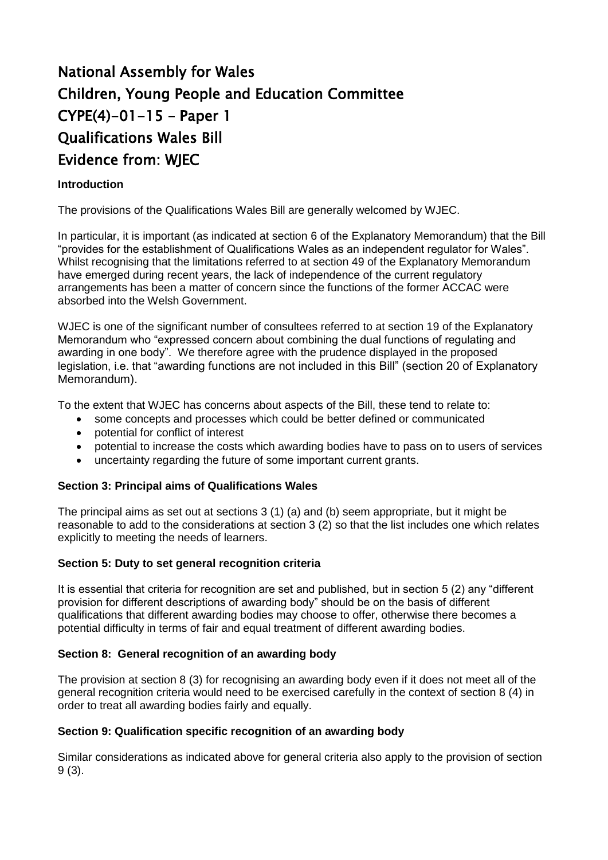# National Assembly for Wales Children, Young People and Education Committee CYPE(4)-01-15 – Paper 1 Qualifications Wales Bill Evidence from: WJEC

## **Introduction**

The provisions of the Qualifications Wales Bill are generally welcomed by WJEC.

In particular, it is important (as indicated at section 6 of the Explanatory Memorandum) that the Bill "provides for the establishment of Qualifications Wales as an independent regulator for Wales". Whilst recognising that the limitations referred to at section 49 of the Explanatory Memorandum have emerged during recent years, the lack of independence of the current regulatory arrangements has been a matter of concern since the functions of the former ACCAC were absorbed into the Welsh Government.

WJEC is one of the significant number of consultees referred to at section 19 of the Explanatory Memorandum who "expressed concern about combining the dual functions of regulating and awarding in one body". We therefore agree with the prudence displayed in the proposed legislation, i.e. that "awarding functions are not included in this Bill" (section 20 of Explanatory Memorandum).

To the extent that WJEC has concerns about aspects of the Bill, these tend to relate to:

- some concepts and processes which could be better defined or communicated
- potential for conflict of interest
- potential to increase the costs which awarding bodies have to pass on to users of services
- uncertainty regarding the future of some important current grants.

## **Section 3: Principal aims of Qualifications Wales**

The principal aims as set out at sections 3 (1) (a) and (b) seem appropriate, but it might be reasonable to add to the considerations at section 3 (2) so that the list includes one which relates explicitly to meeting the needs of learners.

## **Section 5: Duty to set general recognition criteria**

It is essential that criteria for recognition are set and published, but in section 5 (2) any "different provision for different descriptions of awarding body" should be on the basis of different qualifications that different awarding bodies may choose to offer, otherwise there becomes a potential difficulty in terms of fair and equal treatment of different awarding bodies.

## **Section 8: General recognition of an awarding body**

The provision at section 8 (3) for recognising an awarding body even if it does not meet all of the general recognition criteria would need to be exercised carefully in the context of section 8 (4) in order to treat all awarding bodies fairly and equally.

## **Section 9: Qualification specific recognition of an awarding body**

Similar considerations as indicated above for general criteria also apply to the provision of section 9 (3).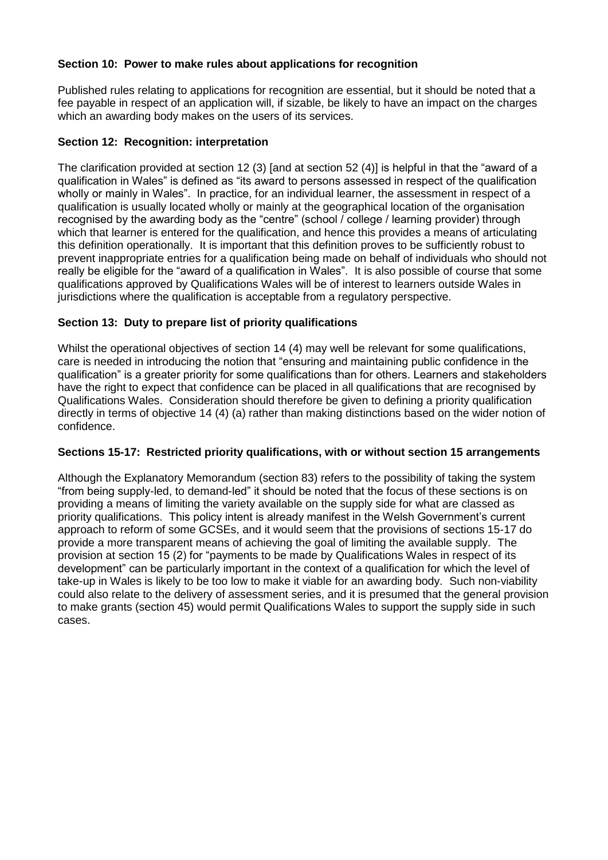## **Section 10: Power to make rules about applications for recognition**

Published rules relating to applications for recognition are essential, but it should be noted that a fee payable in respect of an application will, if sizable, be likely to have an impact on the charges which an awarding body makes on the users of its services.

## **Section 12: Recognition: interpretation**

The clarification provided at section 12 (3) [and at section 52 (4)] is helpful in that the "award of a qualification in Wales" is defined as "its award to persons assessed in respect of the qualification wholly or mainly in Wales". In practice, for an individual learner, the assessment in respect of a qualification is usually located wholly or mainly at the geographical location of the organisation recognised by the awarding body as the "centre" (school / college / learning provider) through which that learner is entered for the qualification, and hence this provides a means of articulating this definition operationally. It is important that this definition proves to be sufficiently robust to prevent inappropriate entries for a qualification being made on behalf of individuals who should not really be eligible for the "award of a qualification in Wales". It is also possible of course that some qualifications approved by Qualifications Wales will be of interest to learners outside Wales in jurisdictions where the qualification is acceptable from a regulatory perspective.

## **Section 13: Duty to prepare list of priority qualifications**

Whilst the operational objectives of section 14 (4) may well be relevant for some qualifications, care is needed in introducing the notion that "ensuring and maintaining public confidence in the qualification" is a greater priority for some qualifications than for others. Learners and stakeholders have the right to expect that confidence can be placed in all qualifications that are recognised by Qualifications Wales. Consideration should therefore be given to defining a priority qualification directly in terms of objective 14 (4) (a) rather than making distinctions based on the wider notion of confidence.

# **Sections 15-17: Restricted priority qualifications, with or without section 15 arrangements**

Although the Explanatory Memorandum (section 83) refers to the possibility of taking the system "from being supply-led, to demand-led" it should be noted that the focus of these sections is on providing a means of limiting the variety available on the supply side for what are classed as priority qualifications. This policy intent is already manifest in the Welsh Government's current approach to reform of some GCSEs, and it would seem that the provisions of sections 15-17 do provide a more transparent means of achieving the goal of limiting the available supply. The provision at section 15 (2) for "payments to be made by Qualifications Wales in respect of its development" can be particularly important in the context of a qualification for which the level of take-up in Wales is likely to be too low to make it viable for an awarding body. Such non-viability could also relate to the delivery of assessment series, and it is presumed that the general provision to make grants (section 45) would permit Qualifications Wales to support the supply side in such cases.